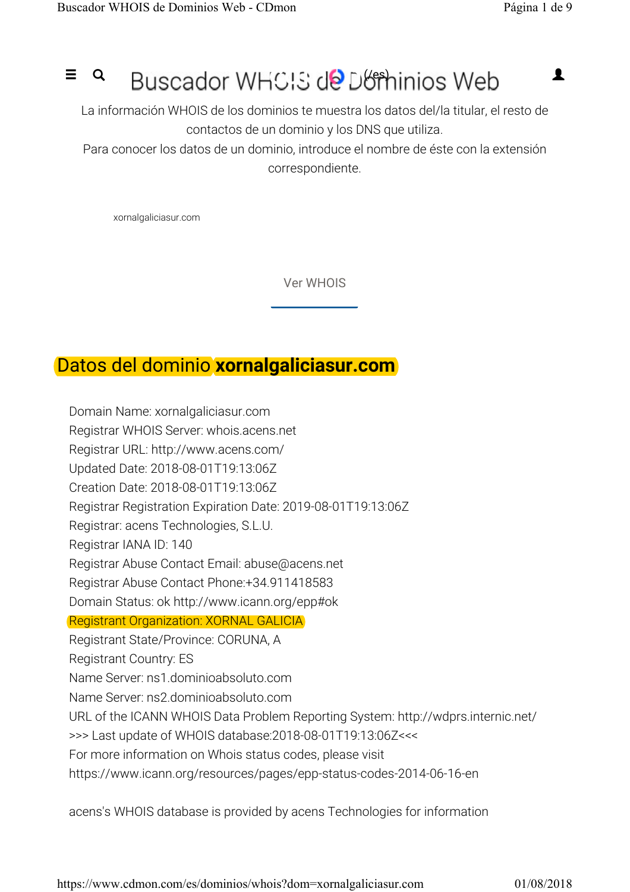# $=$   $\alpha$  Buscador WHCIS de Dominios Web  $\blacksquare$

La información WHOIS de los dominios te muestra los datos del/la titular, el resto de contactos de un dominio y los DNS que utiliza.

Para conocer los datos de un dominio, introduce el nombre de éste con la extensión correspondiente.

xornalgaliciasur.com

Ver WHOIS

### Datos del dominio **xornalgaliciasur.com**

Domain Name: xornalgaliciasur.com Registrar WHOIS Server: whois.acens.net Registrar URL: http://www.acens.com/ Updated Date: 2018-08-01T19:13:06Z Creation Date: 2018-08-01T19:13:06Z Registrar Registration Expiration Date: 2019-08-01T19:13:06Z Registrar: acens Technologies, S.L.U. Registrar IANA ID: 140 Registrar Abuse Contact Email: abuse@acens.net Registrar Abuse Contact Phone:+34.911418583 Domain Status: ok http://www.icann.org/epp#ok Registrant Organization: XORNAL GALICIA Registrant State/Province: CORUNA, A Registrant Country: ES Name Server: ns1.dominioabsoluto.com Name Server: ns2.dominioabsoluto.com URL of the ICANN WHOIS Data Problem Reporting System: http://wdprs.internic.net/ >>> Last update of WHOIS database:2018-08-01T19:13:06Z<<< For more information on Whois status codes, please visit https://www.icann.org/resources/pages/epp-status-codes-2014-06-16-en

acens's WHOIS database is provided by acens Technologies for information

https://www.cdmon.com/es/dominios/whois?dom=xornalgaliciasur.com 01/08/2018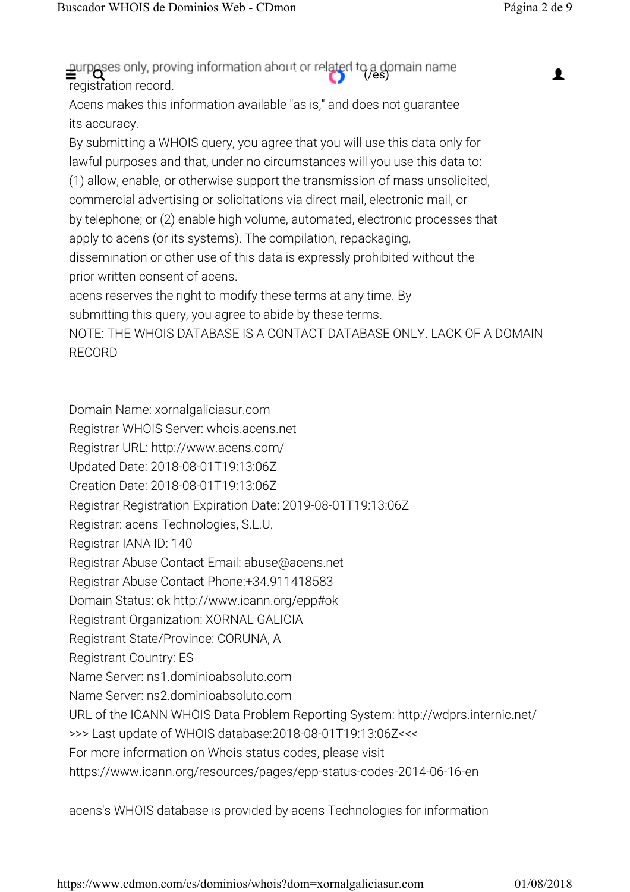registration record.  $\triangleq$  a domain name

Acens makes this information available "as is," and does not guarantee its accuracy.

By submitting a WHOIS query, you agree that you will use this data only for lawful purposes and that, under no circumstances will you use this data to: (1) allow, enable, or otherwise support the transmission of mass unsolicited, commercial advertising or solicitations via direct mail, electronic mail, or by telephone; or (2) enable high volume, automated, electronic processes that apply to acens (or its systems). The compilation, repackaging, dissemination or other use of this data is expressly prohibited without the prior written consent of acens. acens reserves the right to modify these terms at any time. By submitting this query, you agree to abide by these terms.

NOTE: THE WHOIS DATABASE IS A CONTACT DATABASE ONLY. LACK OF A DOMAIN RECORD

Domain Name: xornalgaliciasur.com Registrar WHOIS Server: whois.acens.net Registrar URL: http://www.acens.com/ Updated Date: 2018-08-01T19:13:06Z Creation Date: 2018-08-01T19:13:06Z Registrar Registration Expiration Date: 2019-08-01T19:13:06Z Registrar: acens Technologies, S.L.U. Registrar IANA ID: 140 Registrar Abuse Contact Email: abuse@acens.net Registrar Abuse Contact Phone:+34.911418583 Domain Status: ok http://www.icann.org/epp#ok Registrant Organization: XORNAL GALICIA Registrant State/Province: CORUNA, A Registrant Country: ES Name Server: ns1.dominioabsoluto.com Name Server: ns2.dominioabsoluto.com URL of the ICANN WHOIS Data Problem Reporting System: http://wdprs.internic.net/ >>> Last update of WHOIS database:2018-08-01T19:13:06Z<<< For more information on Whois status codes, please visit https://www.icann.org/resources/pages/epp-status-codes-2014-06-16-en

acens's WHOIS database is provided by acens Technologies for information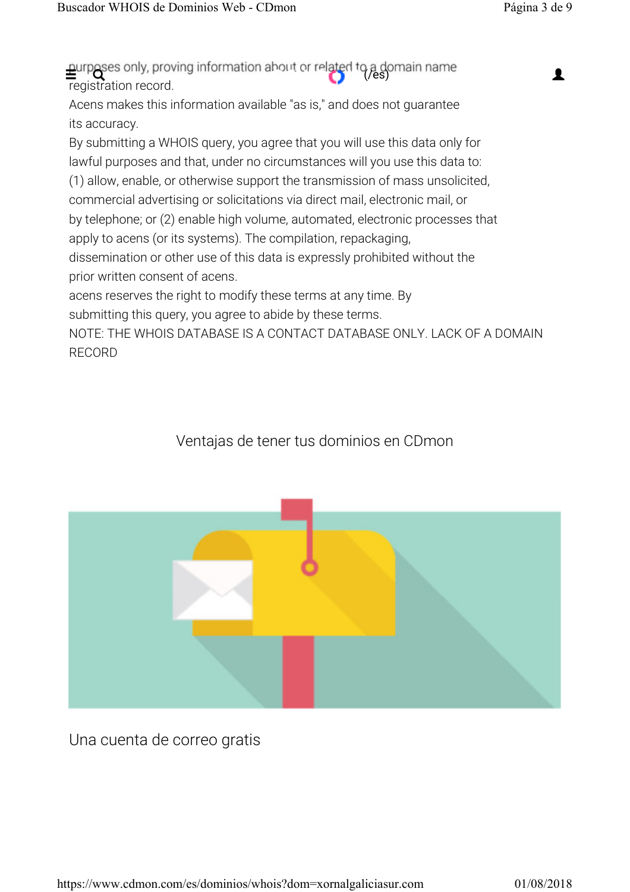registration record. Acens makes this information available "as is," and does not guarantee its accuracy. By submitting a WHOIS query, you agree that you will use this data only for lawful purposes and that, under no circumstances will you use this data to: (1) allow, enable, or otherwise support the transmission of mass unsolicited, commercial advertising or solicitations via direct mail, electronic mail, or by telephone; or (2) enable high volume, automated, electronic processes that apply to acens (or its systems). The compilation, repackaging, dissemination or other use of this data is expressly prohibited without the prior written consent of acens. acens reserves the right to modify these terms at any time. By submitting this query, you agree to abide by these terms. NOTE: THE WHOIS DATABASE IS A CONTACT DATABASE ONLY. LACK OF A DOMAIN RECORD  $\triangleq$ urposes only, proving information about or related to a domain name

#### Ventajas de tener tus dominios en CDmon



Una cuenta de correo gratis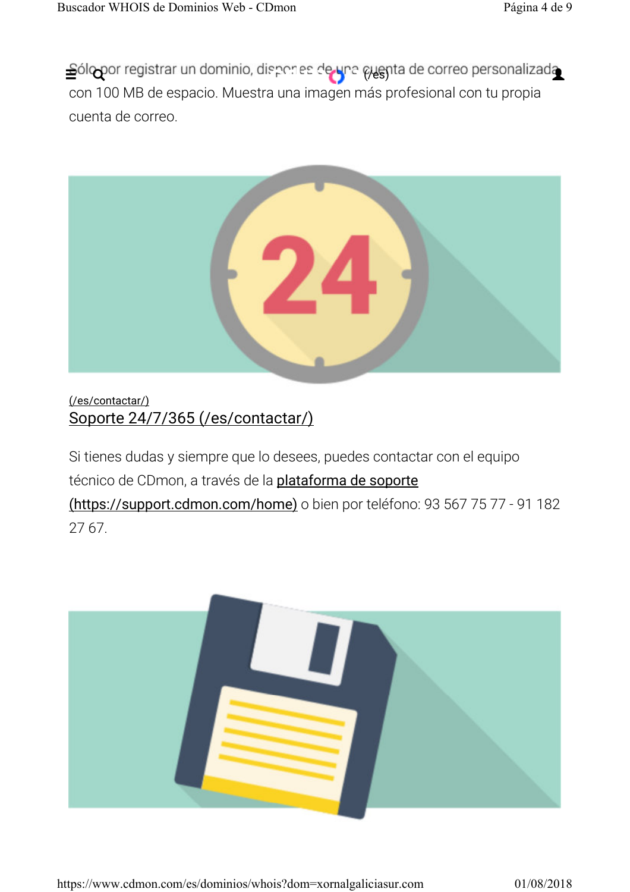con 100 MB de espacio. Muestra una imagen más profesional con tu propia cuenta de correo. Sólopor registrar un dominio, dispones de una guenta de correo personalizada



#### (/es/contactar/) Soporte 24/7/365 (/es/contactar/)

Si tienes dudas y siempre que lo desees, puedes contactar con el equipo técnico de CDmon, a través de la *plataforma de soporte* 

(https://support.cdmon.com/home) o bien por teléfono: 93 567 75 77 - 91 182 27 67.

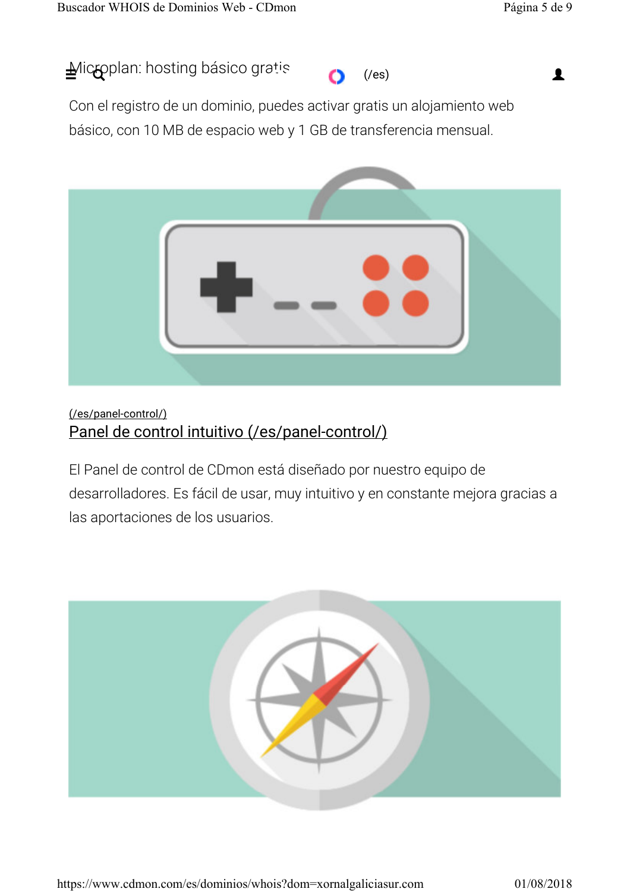$\triangleq$ lic $\sim$ pplan: hosting básico gratis (/es) (/es)  $\triangleq$ 



Con el registro de un dominio, puedes activar gratis un alojamiento web básico, con 10 MB de espacio web y 1 GB de transferencia mensual.



#### (/es/panel-control/) Panel de control intuitivo (/es/panel-control/)

El Panel de control de CDmon está diseñado por nuestro equipo de desarrolladores. Es fácil de usar, muy intuitivo y en constante mejora gracias a las aportaciones de los usuarios.

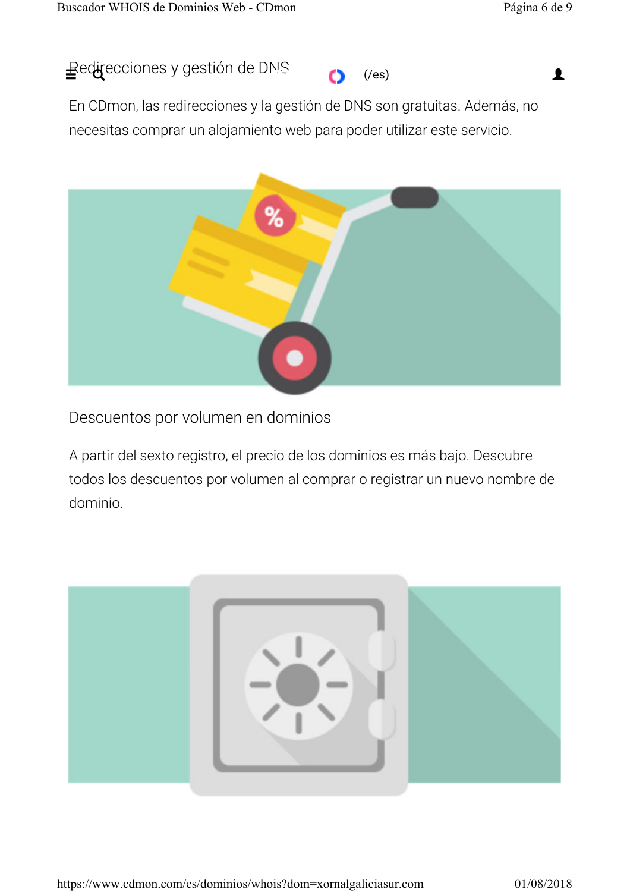



En CDmon, las redirecciones y la gestión de DNS son gratuitas. Además, no necesitas comprar un alojamiento web para poder utilizar este servicio.



Descuentos por volumen en dominios

A partir del sexto registro, el precio de los dominios es más bajo. Descubre todos los descuentos por volumen al comprar o registrar un nuevo nombre de dominio.

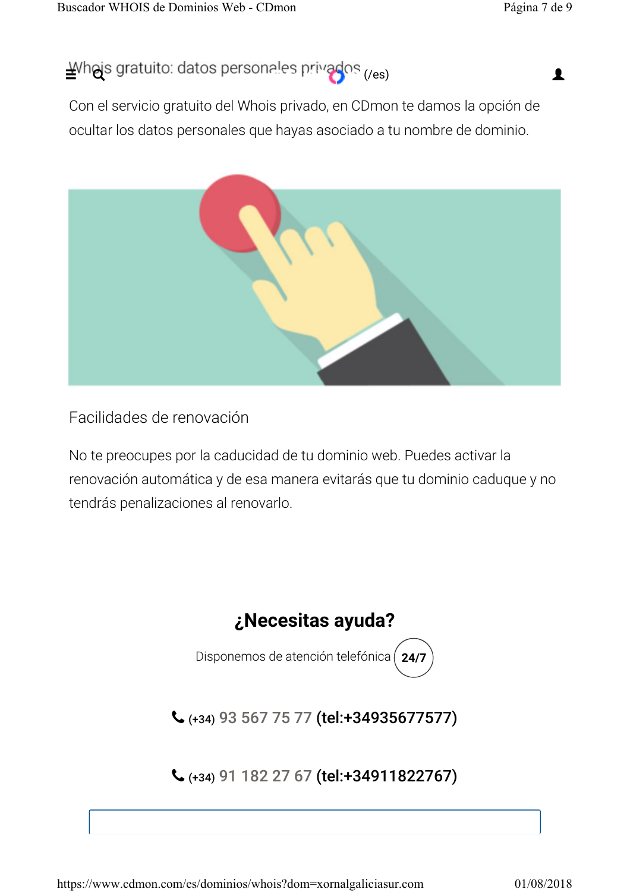## $\mathbf{\underline{\underline{\underline{\mathsf{\mathsf{A}}}}}}$  (*Vhojs gratuito: datos personales privados*  $\mathsf{C}_\mathsf{res}$ )

Con el servicio gratuito del Whois privado, en CDmon te damos la opción de ocultar los datos personales que hayas asociado a tu nombre de dominio.



Facilidades de renovación

No te preocupes por la caducidad de tu dominio web. Puedes activar la renovación automática y de esa manera evitarás que tu dominio caduque y no tendrás penalizaciones al renovarlo.



Disponemos de atención telefónica **24/7**

(+34) 93 567 75 77 (tel:+34935677577)

## (+34) 91 182 27 67 (tel:+34911822767)

https://www.cdmon.com/es/dominios/whois?dom=xornalgaliciasur.com 01/08/2018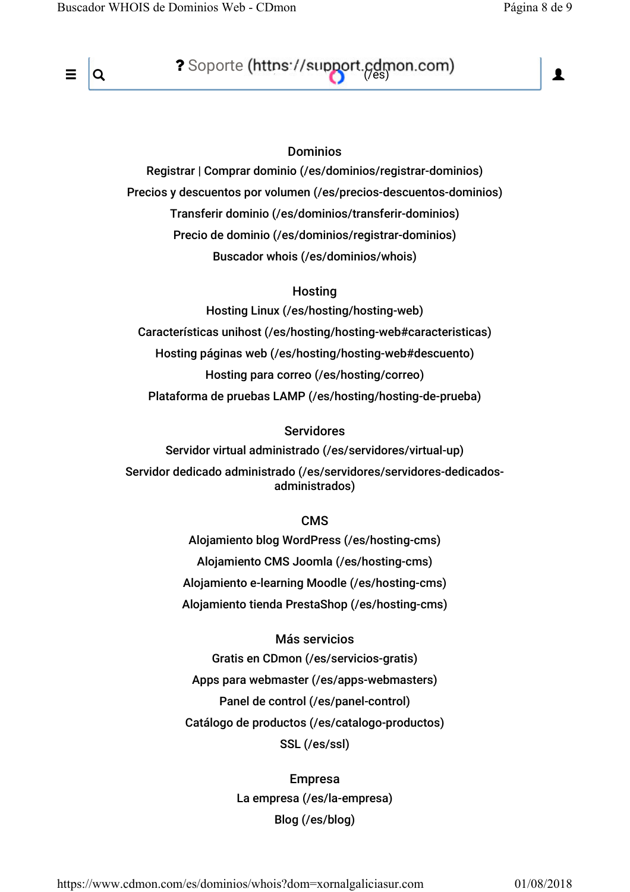

 $\equiv$  |Q ? Soporte (https://support.cdmon.com) | 1

#### Dominios

Registrar | Comprar dominio (/es/dominios/registrar-dominios) Precios y descuentos por volumen (/es/precios-descuentos-dominios) Transferir dominio (/es/dominios/transferir-dominios) Precio de dominio (/es/dominios/registrar-dominios) Buscador whois (/es/dominios/whois)

#### **Hosting**

Hosting Linux (/es/hosting/hosting-web) Características unihost (/es/hosting/hosting-web#caracteristicas) Hosting páginas web (/es/hosting/hosting-web#descuento) Hosting para correo (/es/hosting/correo) Plataforma de pruebas LAMP (/es/hosting/hosting-de-prueba)

#### Servidores

Servidor virtual administrado (/es/servidores/virtual-up) Servidor dedicado administrado (/es/servidores/servidores-dedicadosadministrados)

#### CMS

Alojamiento blog WordPress (/es/hosting-cms) Alojamiento CMS Joomla (/es/hosting-cms) Alojamiento e-learning Moodle (/es/hosting-cms) Alojamiento tienda PrestaShop (/es/hosting-cms)

Más servicios Gratis en CDmon (/es/servicios-gratis) Apps para webmaster (/es/apps-webmasters) Panel de control (/es/panel-control) Catálogo de productos (/es/catalogo-productos) SSL (/es/ssl)

> Empresa La empresa (/es/la-empresa) Blog (/es/blog)

https://www.cdmon.com/es/dominios/whois?dom=xornalgaliciasur.com 01/08/2018